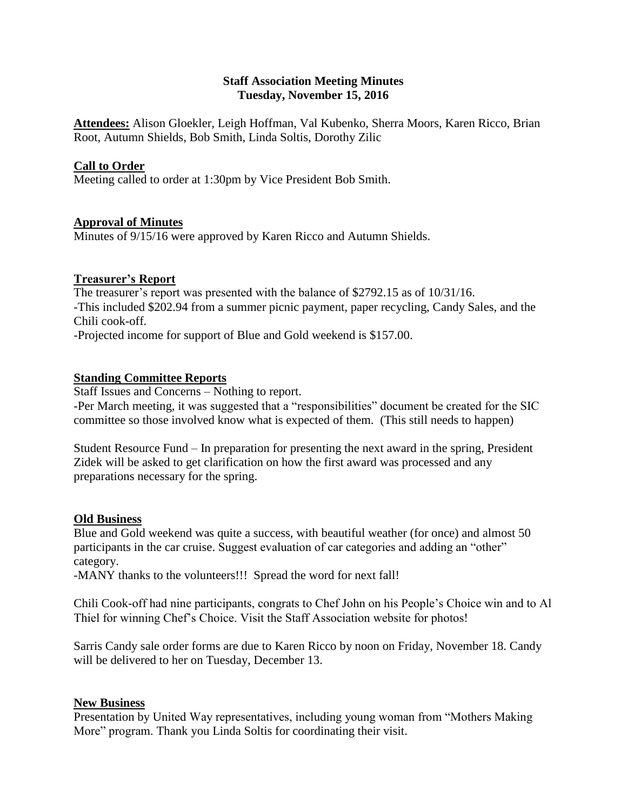## **Staff Association Meeting Minutes Tuesday, November 15, 2016**

**Attendees:** Alison Gloekler, Leigh Hoffman, Val Kubenko, Sherra Moors, Karen Ricco, Brian Root, Autumn Shields, Bob Smith, Linda Soltis, Dorothy Zilic

## **Call to Order**

Meeting called to order at 1:30pm by Vice President Bob Smith.

## **Approval of Minutes**

Minutes of 9/15/16 were approved by Karen Ricco and Autumn Shields.

### **Treasurer's Report**

The treasurer's report was presented with the balance of \$2792.15 as of 10/31/16. -This included \$202.94 from a summer picnic payment, paper recycling, Candy Sales, and the Chili cook-off.

-Projected income for support of Blue and Gold weekend is \$157.00.

## **Standing Committee Reports**

Staff Issues and Concerns – Nothing to report. -Per March meeting, it was suggested that a "responsibilities" document be created for the SIC committee so those involved know what is expected of them. (This still needs to happen)

Student Resource Fund – In preparation for presenting the next award in the spring, President Zidek will be asked to get clarification on how the first award was processed and any preparations necessary for the spring.

### **Old Business**

Blue and Gold weekend was quite a success, with beautiful weather (for once) and almost 50 participants in the car cruise. Suggest evaluation of car categories and adding an "other" category.

-MANY thanks to the volunteers!!! Spread the word for next fall!

Chili Cook-off had nine participants, congrats to Chef John on his People's Choice win and to Al Thiel for winning Chef's Choice. Visit the Staff Association website for photos!

Sarris Candy sale order forms are due to Karen Ricco by noon on Friday, November 18. Candy will be delivered to her on Tuesday, December 13.

### **New Business**

Presentation by United Way representatives, including young woman from "Mothers Making More" program. Thank you Linda Soltis for coordinating their visit.